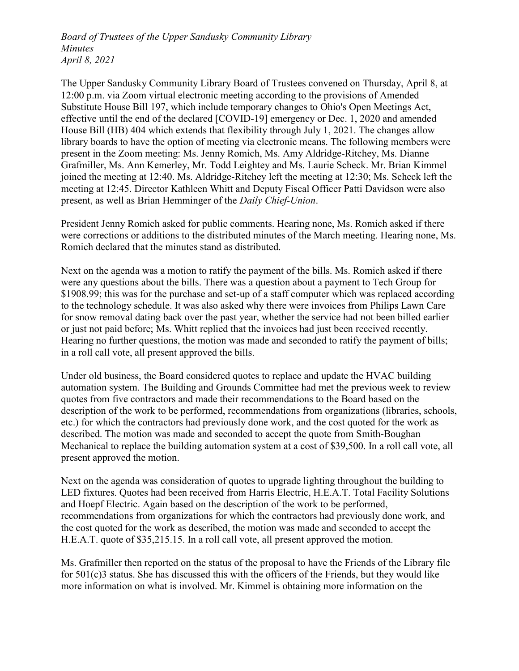Board of Trustees of the Upper Sandusky Community Library Minutes April 8, 2021

The Upper Sandusky Community Library Board of Trustees convened on Thursday, April 8, at 12:00 p.m. via Zoom virtual electronic meeting according to the provisions of Amended Substitute House Bill 197, which include temporary changes to Ohio's Open Meetings Act, effective until the end of the declared [COVID-19] emergency or Dec. 1, 2020 and amended House Bill (HB) 404 which extends that flexibility through July 1, 2021. The changes allow library boards to have the option of meeting via electronic means. The following members were present in the Zoom meeting: Ms. Jenny Romich, Ms. Amy Aldridge-Ritchey, Ms. Dianne Grafmiller, Ms. Ann Kemerley, Mr. Todd Leightey and Ms. Laurie Scheck. Mr. Brian Kimmel joined the meeting at 12:40. Ms. Aldridge-Ritchey left the meeting at 12:30; Ms. Scheck left the meeting at 12:45. Director Kathleen Whitt and Deputy Fiscal Officer Patti Davidson were also present, as well as Brian Hemminger of the Daily Chief-Union.

President Jenny Romich asked for public comments. Hearing none, Ms. Romich asked if there were corrections or additions to the distributed minutes of the March meeting. Hearing none, Ms. Romich declared that the minutes stand as distributed.

Next on the agenda was a motion to ratify the payment of the bills. Ms. Romich asked if there were any questions about the bills. There was a question about a payment to Tech Group for \$1908.99; this was for the purchase and set-up of a staff computer which was replaced according to the technology schedule. It was also asked why there were invoices from Philips Lawn Care for snow removal dating back over the past year, whether the service had not been billed earlier or just not paid before; Ms. Whitt replied that the invoices had just been received recently. Hearing no further questions, the motion was made and seconded to ratify the payment of bills; in a roll call vote, all present approved the bills.

Under old business, the Board considered quotes to replace and update the HVAC building automation system. The Building and Grounds Committee had met the previous week to review quotes from five contractors and made their recommendations to the Board based on the description of the work to be performed, recommendations from organizations (libraries, schools, etc.) for which the contractors had previously done work, and the cost quoted for the work as described. The motion was made and seconded to accept the quote from Smith-Boughan Mechanical to replace the building automation system at a cost of \$39,500. In a roll call vote, all present approved the motion.

Next on the agenda was consideration of quotes to upgrade lighting throughout the building to LED fixtures. Quotes had been received from Harris Electric, H.E.A.T. Total Facility Solutions and Hoepf Electric. Again based on the description of the work to be performed, recommendations from organizations for which the contractors had previously done work, and the cost quoted for the work as described, the motion was made and seconded to accept the H.E.A.T. quote of \$35,215.15. In a roll call vote, all present approved the motion.

Ms. Grafmiller then reported on the status of the proposal to have the Friends of the Library file for 501(c)3 status. She has discussed this with the officers of the Friends, but they would like more information on what is involved. Mr. Kimmel is obtaining more information on the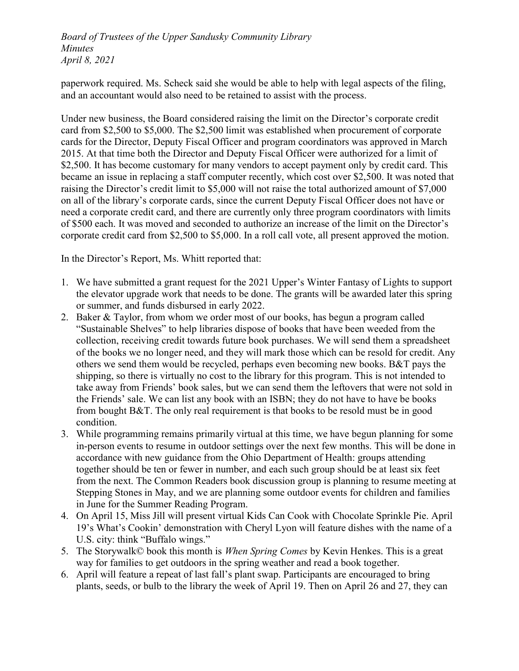Board of Trustees of the Upper Sandusky Community Library Minutes April 8, 2021

paperwork required. Ms. Scheck said she would be able to help with legal aspects of the filing, and an accountant would also need to be retained to assist with the process.

Under new business, the Board considered raising the limit on the Director's corporate credit card from \$2,500 to \$5,000. The \$2,500 limit was established when procurement of corporate cards for the Director, Deputy Fiscal Officer and program coordinators was approved in March 2015. At that time both the Director and Deputy Fiscal Officer were authorized for a limit of \$2,500. It has become customary for many vendors to accept payment only by credit card. This became an issue in replacing a staff computer recently, which cost over \$2,500. It was noted that raising the Director's credit limit to \$5,000 will not raise the total authorized amount of \$7,000 on all of the library's corporate cards, since the current Deputy Fiscal Officer does not have or need a corporate credit card, and there are currently only three program coordinators with limits of \$500 each. It was moved and seconded to authorize an increase of the limit on the Director's corporate credit card from \$2,500 to \$5,000. In a roll call vote, all present approved the motion.

In the Director's Report, Ms. Whitt reported that:

- 1. We have submitted a grant request for the 2021 Upper's Winter Fantasy of Lights to support the elevator upgrade work that needs to be done. The grants will be awarded later this spring or summer, and funds disbursed in early 2022.
- 2. Baker & Taylor, from whom we order most of our books, has begun a program called "Sustainable Shelves" to help libraries dispose of books that have been weeded from the collection, receiving credit towards future book purchases. We will send them a spreadsheet of the books we no longer need, and they will mark those which can be resold for credit. Any others we send them would be recycled, perhaps even becoming new books. B&T pays the shipping, so there is virtually no cost to the library for this program. This is not intended to take away from Friends' book sales, but we can send them the leftovers that were not sold in the Friends' sale. We can list any book with an ISBN; they do not have to have be books from bought B&T. The only real requirement is that books to be resold must be in good condition.
- 3. While programming remains primarily virtual at this time, we have begun planning for some in-person events to resume in outdoor settings over the next few months. This will be done in accordance with new guidance from the Ohio Department of Health: groups attending together should be ten or fewer in number, and each such group should be at least six feet from the next. The Common Readers book discussion group is planning to resume meeting at Stepping Stones in May, and we are planning some outdoor events for children and families in June for the Summer Reading Program.
- 4. On April 15, Miss Jill will present virtual Kids Can Cook with Chocolate Sprinkle Pie. April 19's What's Cookin' demonstration with Cheryl Lyon will feature dishes with the name of a U.S. city: think "Buffalo wings."
- 5. The Storywalk© book this month is *When Spring Comes* by Kevin Henkes. This is a great way for families to get outdoors in the spring weather and read a book together.
- 6. April will feature a repeat of last fall's plant swap. Participants are encouraged to bring plants, seeds, or bulb to the library the week of April 19. Then on April 26 and 27, they can